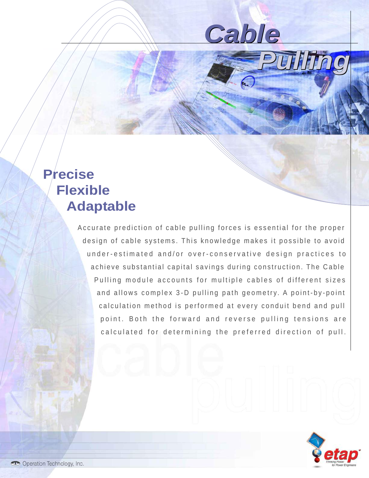*Cable*

*Pulling*

## **Precise Flexible Adaptable**

Accurate prediction of cable pulling forces is essential for the proper design of cable systems. This knowledge makes it possible to avoid under-estimated and/or over-conservative design practices to achieve substantial capital savings during construction. The Cable Pulling module accounts for multiple cables of different sizes and allows complex 3-D pulling path geometry. A point-by-point calculation method is performed at every conduit bend and pull point. Both the forward and reverse pulling tensions are calculated for determining the preferred direction of pull.